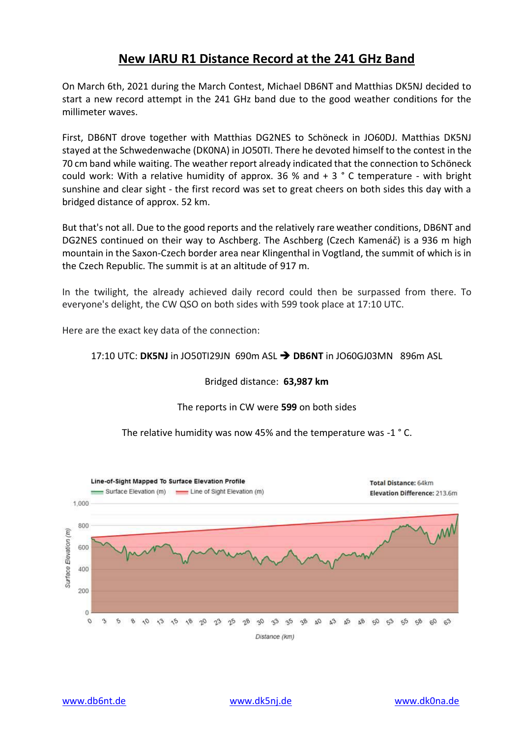## **New IARU R1 Distance Record at the 241 GHz Band**

On March 6th, 2021 during the March Contest, Michael DB6NT and Matthias DK5NJ decided to start a new record attempt in the 241 GHz band due to the good weather conditions for the millimeter waves.

First, DB6NT drove together with Matthias DG2NES to Schöneck in JO60DJ. Matthias DK5NJ stayed at the Schwedenwache (DK0NA) in JO50TI. There he devoted himself to the contest in the 70 cm band while waiting. The weather report already indicated that the connection to Schöneck could work: With a relative humidity of approx. 36 % and + 3 ° C temperature - with bright sunshine and clear sight - the first record was set to great cheers on both sides this day with a bridged distance of approx. 52 km.

But that's not all. Due to the good reports and the relatively rare weather conditions, DB6NT and DG2NES continued on their way to Aschberg. The Aschberg (Czech Kamenáč) is a 936 m high mountain in the Saxon-Czech border area near Klingenthal in Vogtland, the summit of which is in the Czech Republic. The summit is at an altitude of 917 m.

In the twilight, the already achieved daily record could then be surpassed from there. To everyone's delight, the CW QSO on both sides with 599 took place at 17:10 UTC.

Here are the exact key data of the connection:

## 17:10 UTC: **DK5NJ** in JO50TI29JN 690m ASL ➔ **DB6NT** in JO60GJ03MN 896m ASL

## Bridged distance: **63,987 km**

## The reports in CW were **599** on both sides

The relative humidity was now 45% and the temperature was -1 ° C.

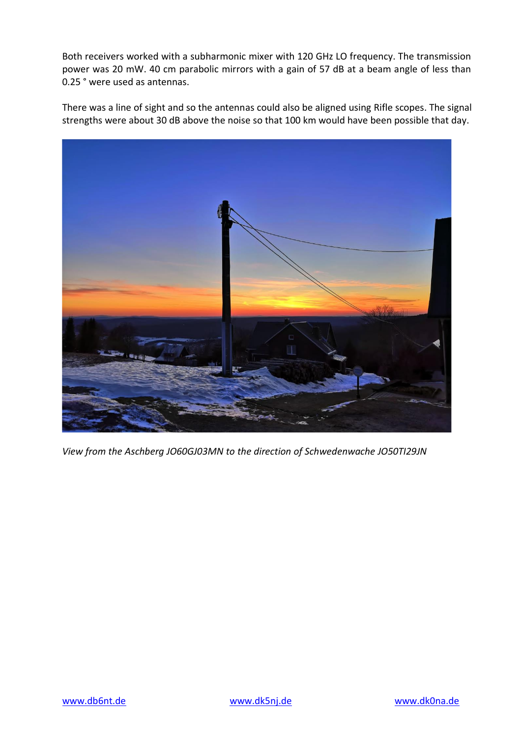Both receivers worked with a subharmonic mixer with 120 GHz LO frequency. The transmission power was 20 mW. 40 cm parabolic mirrors with a gain of 57 dB at a beam angle of less than 0.25 ° were used as antennas.

There was a line of sight and so the antennas could also be aligned using Rifle scopes. The signal strengths were about 30 dB above the noise so that 100 km would have been possible that day.



*View from the Aschberg JO60GJ03MN to the direction of Schwedenwache JO50TI29JN*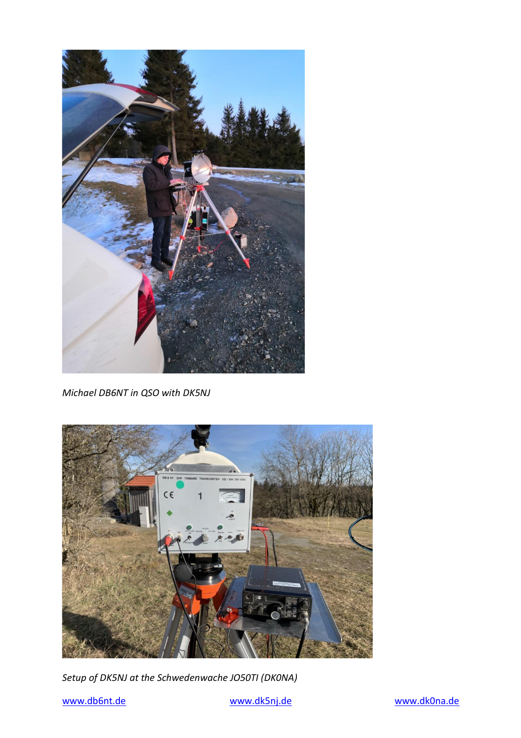

*Michael DB6NT in QSO with DK5NJ*



*Setup of DK5NJ at the Schwedenwache JO50TI (DK0NA)*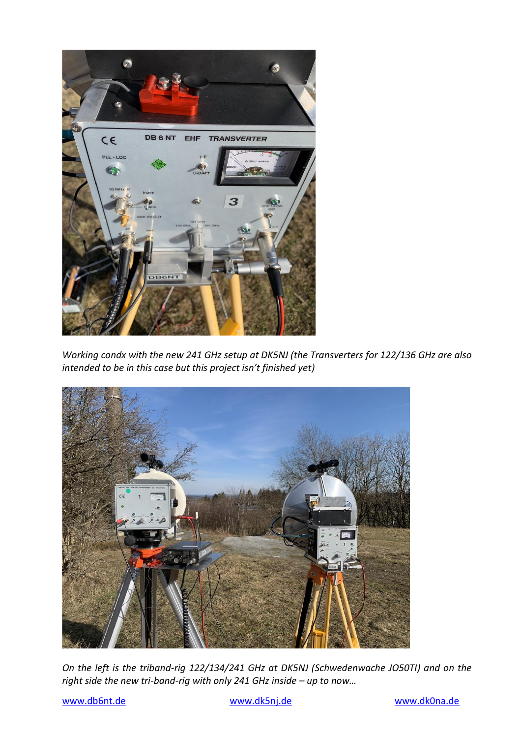

*Working condx with the new 241 GHz setup at DK5NJ (the Transverters for 122/136 GHz are also intended to be in this case but this project isn't finished yet)*



*On the left is the triband-rig 122/134/241 GHz at DK5NJ (Schwedenwache JO50TI) and on the right side the new tri-band-rig with only 241 GHz inside – up to now…*